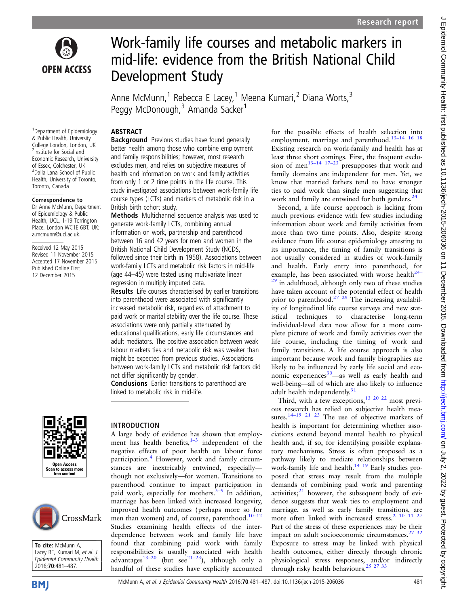

# Work-family life courses and metabolic markers in mid-life: evidence from the British National Child Development Study

Anne McMunn,<sup>1</sup> Rebecca E Lacey,<sup>1</sup> Meena Kumari,<sup>2</sup> Diana Worts,<sup>3</sup> Peggy McDonough,<sup>3</sup> Amanda Sacker<sup>1</sup>

#### **ABSTRACT**

1 Department of Epidemiology & Public Health, University College London, London, UK <sup>2</sup>Institute for Social and Economic Research, University of Essex, Colchester, UK 3 Dalla Lana School of Public Health, University of Toronto, Toronto, Canada

#### Correspondence to

Dr Anne McMunn, Department of Epidemiology & Public Health, UCL, 1-19 Torrington Place, London WC1E 6BT, UK; a.mcmunn@ucl.ac.uk.

Received 12 May 2015 Revised 11 November 2015 Accepted 17 November 2015 Published Online First 12 December 2015

**Background** Previous studies have found generally better health among those who combine employment and family responsibilities; however, most research excludes men, and relies on subjective measures of health and information on work and family activities from only 1 or 2 time points in the life course. This study investigated associations between work-family life course types (LCTs) and markers of metabolic risk in a British birth cohort study.

Methods Multichannel sequence analysis was used to generate work-family LCTs, combining annual information on work, partnership and parenthood between 16 and 42 years for men and women in the British National Child Development Study (NCDS, followed since their birth in 1958). Associations between work-family LCTs and metabolic risk factors in mid-life (age 44–45) were tested using multivariate linear regression in multiply imputed data.

Results Life courses characterised by earlier transitions into parenthood were associated with significantly increased metabolic risk, regardless of attachment to paid work or marital stability over the life course. These associations were only partially attenuated by educational qualifications, early life circumstances and adult mediators. The positive association between weak labour markets ties and metabolic risk was weaker than might be expected from previous studies. Associations between work-family LCTs and metabolic risk factors did not differ significantly by gender.

Conclusions Earlier transitions to parenthood are linked to metabolic risk in mid-life.





To cite: McMunn A, Lacey RE, Kumari M, et al. J Epidemiol Community Health 2016;70:481–487.

# INTRODUCTION

A large body of evidence has shown that employment has health benefits, $1-3$  $1-3$  independent of the negative effects of poor health on labour force participation.[4](#page-6-0) However, work and family circumstances are inextricably entwined, especially though not exclusively—for women. Transitions to parenthood continue to impact participation in paid work, especially for mothers.<sup>5-[9](#page-6-0)</sup> In addition, marriage has been linked with increased longevity, improved health outcomes (perhaps more so for men than women) and, of course, parenthood.<sup>[10](#page-6-0)-12</sup> Studies examining health effects of the inter-

dependence between work and family life have found that combining paid work with family responsibilities is usually associated with health advantages<sup>[13](#page-6-0)–20</sup> (but see<sup>21–23</sup>), although only a handful of these studies have explicitly accounted

for the possible effects of health selection into employment, marriage and parenthood.<sup>[13](#page-6-0)-14</sup> <sup>16</sup> <sup>18</sup> Existing research on work-family and health has at least three short comings. First, the frequent exclusion of men $^{13-14}$  $^{13-14}$  $^{13-14}$   $^{17-23}$  presupposes that work and family domains are independent for men. Yet, we know that married fathers tend to have stronger ties to paid work than single men suggesting that work and family are entwined for both genders.<sup>[24](#page-6-0)</sup>

Second, a life course approach is lacking from much previous evidence with few studies including information about work and family activities from more than two time points. Also, despite strong evidence from life course epidemiology attesting to its importance, the timing of family transitions is not usually considered in studies of work-family and health. Early entry into parenthood, for example, has been associated with worse health $24 24-$ <sup>[29](#page-6-0)</sup> in adulthood, although only two of these studies have taken account of the potential effect of health prior to parenthood.<sup>27</sup> <sup>29</sup> The increasing availability of longitudinal life course surveys and new statistical techniques to characterise long-term individual-level data now allow for a more complete picture of work and family activities over the life course, including the timing of work and family transitions. A life course approach is also important because work and family biographies are likely to be influenced by early life social and eco-nomic experiences<sup>[30](#page-6-0)</sup>—as well as early health and well-being—all of which are also likely to influence adult health independently.<sup>[31](#page-6-0)</sup>

Third, with a few exceptions,<sup>[13 20 22](#page-6-0)</sup> most previous research has relied on subjective health measures.<sup>14–19</sup> <sup>21</sup> <sup>23</sup> The use of objective markers of health is important for determining whether associations extend beyond mental health to physical health and, if so, for identifying possible explanatory mechanisms. Stress is often proposed as a pathway likely to mediate relationships between work-family life and health.<sup>[14 19](#page-6-0)</sup> Early studies proposed that stress may result from the multiple demands of combining paid work and parenting activities; $21$  however, the subsequent body of evidence suggests that weak ties to employment and marriage, as well as early family transitions, are more often linked with increased stress.<sup>2</sup> <sup>10</sup> <sup>11</sup> <sup>27</sup> Part of the stress of these experiences may be their impact on adult socioeconomic circumstances.<sup>27</sup> <sup>32</sup> Exposure to stress may be linked with physical health outcomes, either directly through chronic physiological stress responses, and/or indirectly through risky health behaviours.<sup>[25 27 33](#page-6-0)</sup>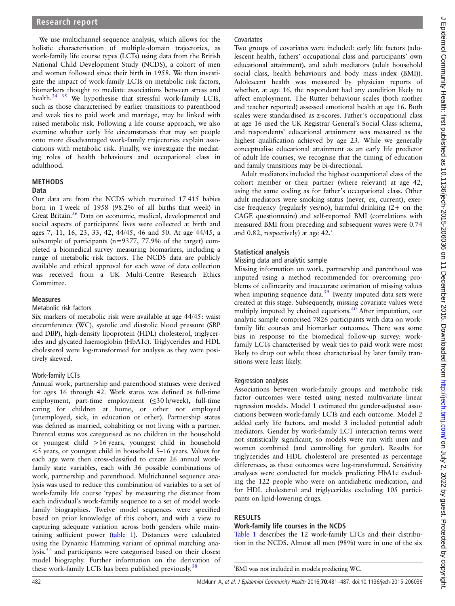We use multichannel sequence analysis, which allows for the holistic characterisation of multiple-domain trajectories, as work-family life course types (LCTs) using data from the British National Child Development Study (NCDS), a cohort of men and women followed since their birth in 1958. We then investigate the impact of work-family LCTs on metabolic risk factors, biomarkers thought to mediate associations between stress and health.[34 35](#page-6-0) We hypothesise that stressful work-family LCTs, such as those characterised by earlier transitions to parenthood and weak ties to paid work and marriage, may be linked with raised metabolic risk. Following a life course approach, we also examine whether early life circumstances that may set people onto more disadvantaged work-family trajectories explain associations with metabolic risk. Finally, we investigate the mediating roles of health behaviours and occupational class in adulthood.

## METHODS

#### Data

Our data are from the NCDS which recruited 17 415 babies born in 1 week of 1958 (98.2% of all births that week) in Great Britain[.36](#page-6-0) Data on economic, medical, developmental and social aspects of participants' lives were collected at birth and ages 7, 11, 16, 23, 33, 42, 44/45, 46 and 50. At age 44/45, a subsample of participants (n=9377, 77.9% of the target) completed a biomedical survey measuring biomarkers, including a range of metabolic risk factors. The NCDS data are publicly available and ethical approval for each wave of data collection was received from a UK Multi-Centre Research Ethics Committee.

#### Measures

#### Metabolic risk factors

Six markers of metabolic risk were available at age 44/45: waist circumference (WC), systolic and diastolic blood pressure (SBP and DBP), high-density lipoprotein (HDL) cholesterol, triglycerides and glycated haemoglobin (HbA1c). Triglycerides and HDL cholesterol were log-transformed for analysis as they were positively skewed.

## Work-family LCTs

Annual work, partnership and parenthood statuses were derived for ages 16 through 42. Work status was defined as full-time employment, part-time employment (≤30 h/week), full-time caring for children at home, or other not employed (unemployed, sick, in education or other). Partnership status was defined as married, cohabiting or not living with a partner. Parental status was categorised as no children in the household or youngest child >16 years, youngest child in household <5 years, or youngest child in household 5–16 years. Values for each age were then cross-classified to create 26 annual workfamily state variables, each with 36 possible combinations of work, partnership and parenthood. Multichannel sequence analysis was used to reduce this combination of variables to a set of work-family life course 'types' by measuring the distance from each individual's work-family sequence to a set of model workfamily biographies. Twelve model sequences were specified based on prior knowledge of this cohort, and with a view to capturing adequate variation across both genders while maintaining sufficient power [\(table 1](#page-2-0)). Distances were calculated using the Dynamic Hamming variant of optimal matching analysis, $37$  and participants were categorised based on their closest model biography. Further information on the derivation of these work-family LCTs has been published previously.<sup>[38](#page-6-0)</sup>

# Covariates

Two groups of covariates were included: early life factors (adolescent health, fathers' occupational class and participants' own educational attainment), and adult mediators (adult household social class, health behaviours and body mass index (BMI)). Adolescent health was measured by physician reports of whether, at age 16, the respondent had any condition likely to affect employment. The Rutter behaviour scales (both mother and teacher reported) assessed emotional health at age 16. Both scales were standardised as z-scores. Father's occupational class at age 16 used the UK Registrar General's Social Class schema, and respondents' educational attainment was measured as the highest qualification achieved by age 23. While we generally conceptualise educational attainment as an early life predictor of adult life courses, we recognise that the timing of education and family transitions may be bi-directional.

Adult mediators included the highest occupational class of the cohort member or their partner (where relevant) at age 42, using the same coding as for father's occupational class. Other adult mediators were smoking status (never, ex, current), exercise frequency (regularly yes/no), harmful drinking  $(2 +$  on the CAGE questionnaire) and self-reported BMI (correlations with measured BMI from preceding and subsequent waves were 0.74 and 0.82, respectively) at age  $42<sup>i</sup>$ 

# Statistical analysis

#### Missing data and analytic sample

Missing information on work, partnership and parenthood was imputed using a method recommended for overcoming problems of collinearity and inaccurate estimation of missing values when imputing sequence data. $39$  Twenty imputed data sets were created at this stage. Subsequently, missing covariate values were multiply imputed by chained equations.<sup>[40](#page-6-0)</sup> After imputation, our analytic sample comprised 7826 participants with data on workfamily life courses and biomarker outcomes. There was some bias in response to the biomedical follow-up survey: workfamily LCTs characterised by weak ties to paid work were most likely to drop out while those characterised by later family transitions were least likely.

## Regression analyses

Associations between work-family groups and metabolic risk factor outcomes were tested using nested multivariate linear regression models. Model 1 estimated the gender-adjusted associations between work-family LCTs and each outcome. Model 2 added early life factors, and model 3 included potential adult mediators. Gender by work-family LCT interaction terms were not statistically significant, so models were run with men and women combined (and controlling for gender). Results for triglycerides and HDL cholesterol are presented as percentage differences, as these outcomes were log-transformed. Sensitivity analyses were conducted for models predicting HbA1c excluding the 122 people who were on antidiabetic medication, and for HDL cholesterol and triglycerides excluding 105 participants on lipid-lowering drugs.

## RESULTS

## Work-family life courses in the NCDS

[Table 1](#page-2-0) describes the 12 work-family LTCs and their distribution in the NCDS. Almost all men (98%) were in one of the six

i BMI was not included in models predicting WC.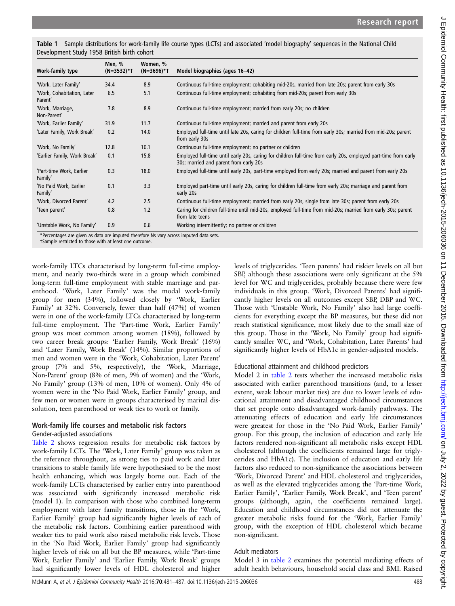<span id="page-2-0"></span>Table 1 Sample distributions for work-family life course types (LCTs) and associated 'model biography' sequences in the National Child Development Study 1958 British birth cohort

| Work-family type                                                                       | Men, %<br>$(N=3532)*t$ | Women, %<br>$(N=3696)*+$ | Model biographies (ages 16–42)                                                                                                                            |
|----------------------------------------------------------------------------------------|------------------------|--------------------------|-----------------------------------------------------------------------------------------------------------------------------------------------------------|
| 'Work, Later Family'                                                                   | 34.4                   | 8.9                      | Continuous full-time employment; cohabiting mid-20s, married from late 20s; parent from early 30s                                                         |
| 'Work, Cohabitation, Later<br>Parent'                                                  | 6.5                    | 5.1                      | Continuous full-time employment; cohabiting from mid-20s; parent from early 30s                                                                           |
| 'Work, Marriage,<br>Non-Parent'                                                        | 7.8                    | 8.9                      | Continuous full-time employment; married from early 20s; no children                                                                                      |
| 'Work, Earlier Family'                                                                 | 31.9                   | 11.7                     | Continuous full-time employment; married and parent from early 20s                                                                                        |
| 'Later Family, Work Break'                                                             | 0.2                    | 14.0                     | Employed full-time until late 20s, caring for children full-time from early 30s; married from mid-20s; parent<br>from early 30s                           |
| 'Work, No Family'                                                                      | 12.8                   | 10.1                     | Continuous full-time employment; no partner or children                                                                                                   |
| 'Earlier Family, Work Break'                                                           | 0.1                    | 15.8                     | Employed full-time until early 20s, caring for children full-time from early 20s, employed part-time from early<br>30s; married and parent from early 20s |
| 'Part-time Work, Earlier<br>Family'                                                    | 0.3                    | 18.0                     | Employed full-time until early 20s, part-time employed from early 20s; married and parent from early 20s                                                  |
| 'No Paid Work, Earlier<br>Family'                                                      | 0.1                    | 3.3                      | Employed part-time until early 20s, caring for children full-time from early 20s; marriage and parent from<br>early 20s                                   |
| 'Work, Divorced Parent'                                                                | 4.2                    | 2.5                      | Continuous full-time employment; married from early 20s, single from late 30s; parent from early 20s                                                      |
| 'Teen parent'                                                                          | 0.8                    | 1.2                      | Caring for children full-time until mid-20s, employed full-time from mid-20s; married from early 30s; parent<br>from late teens                           |
| 'Unstable Work, No Family'                                                             | 0.9                    | 0.6                      | Working intermittently; no partner or children                                                                                                            |
| *Percentages are given as data are imputed therefore Ns vary across imputed data sets. |                        |                          |                                                                                                                                                           |

†Sample restricted to those with at least one outcome.

work-family LTCs characterised by long-term full-time employment, and nearly two-thirds were in a group which combined long-term full-time employment with stable marriage and parenthood. 'Work, Later Family' was the modal work-family group for men (34%), followed closely by 'Work, Earlier Family' at 32%. Conversely, fewer than half (47%) of women were in one of the work-family LTCs characterised by long-term full-time employment. The 'Part-time Work, Earlier Family' group was most common among women (18%), followed by two career break groups: 'Earlier Family, Work Break' (16%) and 'Later Family, Work Break' (14%). Similar proportions of men and women were in the 'Work, Cohabitation, Later Parent' group (7% and 5%, respectively), the 'Work, Marriage, Non-Parent' group (8% of men, 9% of women) and the 'Work, No Family' group (13% of men, 10% of women). Only 4% of women were in the 'No Paid Work, Earlier Family' group, and few men or women were in groups characterised by marital dissolution, teen parenthood or weak ties to work or family.

# Work-family life courses and metabolic risk factors

Gender-adjusted associations

[Table 2](#page-3-0) shows regression results for metabolic risk factors by work-family LCTs. The 'Work, Later Family' group was taken as the reference throughout, as strong ties to paid work and later transitions to stable family life were hypothesised to be the most health enhancing, which was largely borne out. Each of the work-family LCTs characterised by earlier entry into parenthood was associated with significantly increased metabolic risk (model 1). In comparison with those who combined long-term employment with later family transitions, those in the 'Work, Earlier Family' group had significantly higher levels of each of the metabolic risk factors. Combining earlier parenthood with weaker ties to paid work also raised metabolic risk levels. Those in the 'No Paid Work, Earlier Family' group had significantly higher levels of risk on all but the BP measures, while 'Part-time Work, Earlier Family' and 'Earlier Family, Work Break' groups had significantly lower levels of HDL cholesterol and higher

levels of triglycerides. 'Teen parents' had riskier levels on all but SBP, although these associations were only significant at the 5% level for WC and triglycerides, probably because there were few individuals in this group. 'Work, Divorced Parents' had significantly higher levels on all outcomes except SBP, DBP and WC. Those with 'Unstable Work, No Family' also had large coefficients for everything except the BP measures, but these did not reach statistical significance, most likely due to the small size of this group. Those in the 'Work, No Family' group had significantly smaller WC, and 'Work, Cohabitation, Later Parents' had significantly higher levels of HbA1c in gender-adjusted models.

## Educational attainment and childhood predictors

Model 2 in [table 2](#page-3-0) tests whether the increased metabolic risks associated with earlier parenthood transitions (and, to a lesser extent, weak labour market ties) are due to lower levels of educational attainment and disadvantaged childhood circumstances that set people onto disadvantaged work-family pathways. The attenuating effects of education and early life circumstances were greatest for those in the 'No Paid Work, Earlier Family' group. For this group, the inclusion of education and early life factors rendered non-significant all metabolic risks except HDL cholesterol (although the coefficients remained large for triglycerides and HbA1c). The inclusion of education and early life factors also reduced to non-significance the associations between 'Work, Divorced Parent' and HDL cholesterol and triglycerides, as well as the elevated triglycerides among the 'Part-time Work, Earlier Family', 'Earlier Family, Work Break', and 'Teen parent' groups (although, again, the coefficients remained large). Education and childhood circumstances did not attenuate the greater metabolic risks found for the 'Work, Earlier Family' group, with the exception of HDL cholesterol which became non-significant.

## Adult mediators

Model 3 in [table 2](#page-3-0) examines the potential mediating effects of adult health behaviours, household social class and BMI. Raised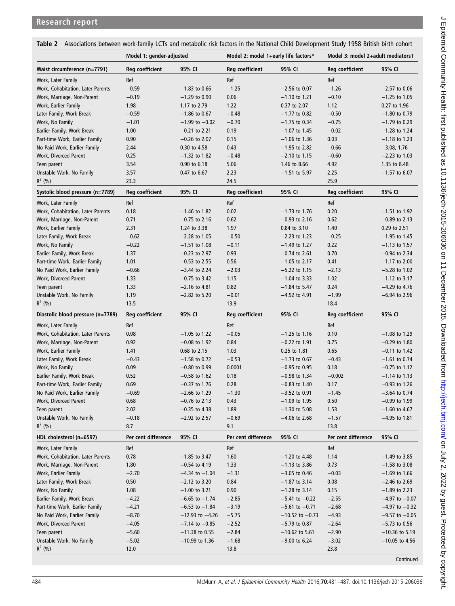<span id="page-3-0"></span>

| Table 2 Associations between work-family LCTs and metabolic risk factors in the National Child Development Study 1958 British birth cohort |                          |                     |                                      |                     |                                   |                    |
|--------------------------------------------------------------------------------------------------------------------------------------------|--------------------------|---------------------|--------------------------------------|---------------------|-----------------------------------|--------------------|
|                                                                                                                                            | Model 1: gender-adjusted |                     | Model 2: model 1+early life factors* |                     | Model 3: model 2+adult mediatorst |                    |
| Waist circumference (n=7791)                                                                                                               | <b>Reg coefficient</b>   | 95% CI              | <b>Reg coefficient</b>               | 95% CI              | <b>Reg coefficient</b>            | 95% CI             |
| Work, Later Family                                                                                                                         | Ref                      |                     | Ref                                  |                     | Ref                               |                    |
| Work, Cohabitation, Later Parents                                                                                                          | $-0.59$                  | $-1.83$ to 0.66     | $-1.25$                              | $-2.56$ to 0.07     | $-1.26$                           | $-2.57$ to 0.06    |
| Work, Marriage, Non-Parent                                                                                                                 | $-0.19$                  | $-1.29$ to 0.90     | 0.06                                 | $-1.10$ to 1.21     | $-0.10$                           | $-1.25$ to 1.05    |
| Work, Earlier Family                                                                                                                       | 1.98                     | 1.17 to 2.79        | 1.22                                 | 0.37 to 2.07        | 1.12                              | 0.27 to 1.96       |
| Later Family, Work Break                                                                                                                   | $-0.59$                  | $-1.86$ to 0.67     | $-0.48$                              | $-1.77$ to 0.82     | $-0.50$                           | $-1.80$ to 0.79    |
| Work, No Family                                                                                                                            | $-1.01$                  | $-1.99$ to $-0.02$  | $-0.70$                              | $-1.75$ to 0.34     | $-0.75$                           | $-1.79$ to 0.29    |
| Earlier Family, Work Break                                                                                                                 | 1.00                     | $-0.21$ to 2.21     | 0.19                                 | $-1.07$ to 1.45     | $-0.02$                           | $-1.28$ to 1.24    |
| Part-time Work, Earlier Family                                                                                                             | 0.90                     | $-0.26$ to 2.07     | 0.15                                 | $-1.06$ to 1.36     | 0.03                              | $-1.18$ to 1.23    |
| No Paid Work, Earlier Family                                                                                                               | 2.44                     | 0.30 to 4.58        | 0.43                                 | $-1.95$ to 2.82     | $-0.66$                           | $-3.08, 1.76$      |
| Work, Divorced Parent                                                                                                                      | 0.25                     | $-1.32$ to 1.82     | $-0.48$                              | $-2.10$ to 1.15     | $-0.60$                           | $-2.23$ to 1.03    |
| Teen parent                                                                                                                                | 3.54                     | 0.90 to 6.18        | 5.06                                 | 1.46 to 8.66        | 4.92                              | 1.35 to 8.48       |
| Unstable Work, No Family                                                                                                                   | 3.57                     | 0.47 to 6.67        | 2.23                                 | $-1.51$ to 5.97     | 2.25                              | $-1.57$ to 6.07    |
| $R^2$ (%)                                                                                                                                  | 23.3                     |                     | 24.5                                 |                     | 25.9                              |                    |
| Systolic blood pressure (n=7789)                                                                                                           | <b>Reg coefficient</b>   | 95% CI              | <b>Reg coefficient</b>               | 95% CI              | <b>Reg coefficient</b>            | 95% CI             |
| Work, Later Family                                                                                                                         | Ref                      |                     | Ref                                  |                     | Ref                               |                    |
| Work, Cohabitation, Later Parents                                                                                                          | 0.18                     | $-1.46$ to 1.82     | 0.02                                 | $-1.73$ to 1.76     | 0.20                              | $-1.51$ to 1.92    |
| Work, Marriage, Non-Parent                                                                                                                 | 0.71                     | $-0.75$ to 2.16     | 0.62                                 | $-0.93$ to 2.16     | 0.62                              | $-0.89$ to 2.13    |
| Work, Earlier Family                                                                                                                       | 2.31                     | 1.24 to 3.38        | 1.97                                 | 0.84 to 3.10        | 1.40                              | $0.29$ to $2.51$   |
| Later Family, Work Break                                                                                                                   | $-0.62$                  | $-2.28$ to 1.05     | $-0.50$                              | $-2.23$ to 1.23     | $-0.25$                           | $-1.95$ to 1.45    |
| Work, No Family                                                                                                                            | $-0.22$                  | $-1.51$ to 1.08     | $-0.11$                              | $-1.49$ to 1.27     | 0.22                              | $-1.13$ to 1.57    |
| Earlier Family, Work Break                                                                                                                 | 1.37                     | $-0.23$ to 2.97     | 0.93                                 | $-0.74$ to 2.61     | 0.70                              | $-0.94$ to 2.34    |
| Part-time Work, Earlier Family                                                                                                             | 1.01                     | $-0.53$ to 2.55     | 0.56                                 | $-1.05$ to 2.17     | 0.41                              | $-1.17$ to 2.00    |
| No Paid Work, Earlier Family                                                                                                               | $-0.66$                  | $-3.44$ to 2.24     | $-2.03$                              | $-5.22$ to 1.15     | $-2.13$                           | $-5.28$ to 1.02    |
| Work, Divorced Parent                                                                                                                      | 1.33                     | $-0.75$ to 3.42     | 1.15                                 | $-1.04$ to 3.33     | 1.02                              | $-1.12$ to 3.17    |
| Teen parent                                                                                                                                | 1.33                     | $-2.16$ to 4.81     | 0.82                                 | $-1.84$ to 5.47     | 0.24                              | $-4.29$ to 4.76    |
| Unstable Work, No Family                                                                                                                   |                          |                     | $-0.01$                              |                     | $-1.99$                           |                    |
| $R^2$ (%)                                                                                                                                  | 1.19<br>13.5             | $-2.82$ to 5.20     | 13.9                                 | $-4.92$ to $4.91$   | 18.4                              | $-6.94$ to 2.96    |
| Diastolic blood pressure (n=7789)                                                                                                          | <b>Reg coefficient</b>   | 95% CI              | <b>Reg coefficient</b>               | 95% CI              | <b>Reg coefficient</b>            | 95% CI             |
| Work, Later Family                                                                                                                         | Ref                      |                     | Ref                                  |                     | Ref                               |                    |
| Work, Cohabitation, Later Parents                                                                                                          | 0.08                     | $-1.05$ to 1.22     | $-0.05$                              | $-1.25$ to 1.16     | 0.10                              | $-1.08$ to 1.29    |
| Work, Marriage, Non-Parent                                                                                                                 | 0.92                     | $-0.08$ to 1.92     | 0.84                                 | $-0.22$ to 1.91     | 0.75                              | $-0.29$ to 1.80    |
| Work, Earlier Family                                                                                                                       | 1.41                     | 0.68 to 2.15        | 1.03                                 | 0.25 to 1.81        | 0.65                              | $-0.11$ to 1.42    |
| Later Family, Work Break                                                                                                                   | $-0.43$                  | $-1.58$ to 0.72     | $-0.53$                              | $-1.73$ to 0.67     | $-0.43$                           | $-1.61$ to 0.74    |
|                                                                                                                                            |                          |                     | 0.0001                               |                     | 0.18                              |                    |
| Work, No Family                                                                                                                            | 0.09                     | $-0.80$ to 0.99     |                                      | $-0.95$ to 0.95     |                                   | $-0.75$ to 1.12    |
| Earlier Family, Work Break                                                                                                                 | 0.52                     | $-0.58$ to 1.62     | 0.18                                 | $-0.98$ to 1.34     | $-0.002$                          | $-1.14$ to 1.13    |
| Part-time Work, Earlier Family                                                                                                             | 0.69                     | $-0.37$ to 1.76     | 0.28                                 | $-0.83$ to 1.40     | 0.17                              | $-0.93$ to 1.26    |
| No Paid Work, Earlier Family                                                                                                               | $-0.69$                  | $-2.66$ to 1.29     | $-1.30$                              | $-3.52$ to 0.91     | $-1.45$                           | $-3.64$ to 0.74    |
| Work, Divorced Parent                                                                                                                      | 0.68                     | $-0.76$ to 2.13     | 0.43                                 | $-1.09$ to 1.95     | 0.50                              | $-0.99$ to 1.99    |
| Teen parent                                                                                                                                | 2.02                     | $-0.35$ to 4.38     | 1.89                                 | $-1.30$ to 5.08     | 1.53                              | $-1.60$ to 4.67    |
| Unstable Work, No Family<br>$R^2$ (%)                                                                                                      | $-0.18$<br>8.7           | $-2.92$ to 2.57     | $-0.69$<br>9.1                       | $-4.06$ to 2.68     | $-1.57$<br>13.8                   | $-4.95$ to 1.81    |
| HDL cholesterol (n=6597)                                                                                                                   | Per cent difference      | 95% CI              | Per cent difference                  | 95% CI              | Per cent difference               | 95% CI             |
| Work, Later Family                                                                                                                         | Ref                      |                     | Ref                                  |                     | Ref                               |                    |
| Work, Cohabitation, Later Parents                                                                                                          | 0.78                     | $-1.85$ to 3.47     | 1.60                                 | $-1.20$ to 4.48     | 1.14                              | $-1.49$ to 3.85    |
| Work, Marriage, Non-Parent                                                                                                                 | 1.80                     | $-0.54$ to 4.19     | 1.33                                 | $-1.13$ to 3.86     | 0.73                              | $-1.58$ to 3.08    |
| Work, Earlier Family                                                                                                                       |                          |                     |                                      |                     | $-0.03$                           |                    |
|                                                                                                                                            | $-2.70$                  | $-4.34$ to $-1.04$  | $-1.31$                              | $-3.05$ to 0.46     |                                   | $-1.69$ to 1.66    |
| Later Family, Work Break                                                                                                                   | 0.50                     | $-2.12$ to 3.20     | 0.84                                 | $-1.87$ to 3.14     | 0.08                              | $-2.46$ to 2.69    |
| Work, No Family                                                                                                                            | 1.08                     | $-1.00$ to 3.21     | 0.90                                 | $-1.28$ to 3.14     | 0.15                              | $-1.89$ to 2.23    |
| Earlier Family, Work Break                                                                                                                 | $-4.22$                  | $-6.65$ to $-1.74$  | $-2.85$                              | $-5.41$ to $-0.22$  | $-2.55$                           | $-4.97$ to $-0.07$ |
| Part-time Work, Earlier Family                                                                                                             | $-4.21$                  | $-6.53$ to $-1.84$  | $-3.19$                              | $-5.61$ to $-0.71$  | $-2.68$                           | $-4.97$ to $-0.32$ |
| No Paid Work, Earlier Family                                                                                                               | $-8.70$                  | $-12.93$ to $-4.26$ | $-5.75$                              | $-10.52$ to $-0.73$ | $-4.93$                           | $-9.57$ to $-0.05$ |
| Work, Divorced Parent                                                                                                                      | $-4.05$                  | $-7.14$ to $-0.85$  | $-2.52$                              | $-5.79$ to 0.87     | $-2.64$                           | $-5.73$ to 0.56    |
| Teen parent                                                                                                                                | $-5.60$                  | $-11.38$ to 0.55    | $-2.84$                              | $-10.62$ to 5.61    | $-2.90$                           | $-10.36$ to 5.19   |
|                                                                                                                                            |                          |                     |                                      |                     |                                   |                    |
| Unstable Work, No Family<br>$R^2$ (%)                                                                                                      | $-5.02$<br>12.0          | $-10.99$ to 1.36    | $-1.68$<br>13.8                      | $-9.00$ to 6.24     | $-3.02$<br>23.8                   | $-10.05$ to 4.56   |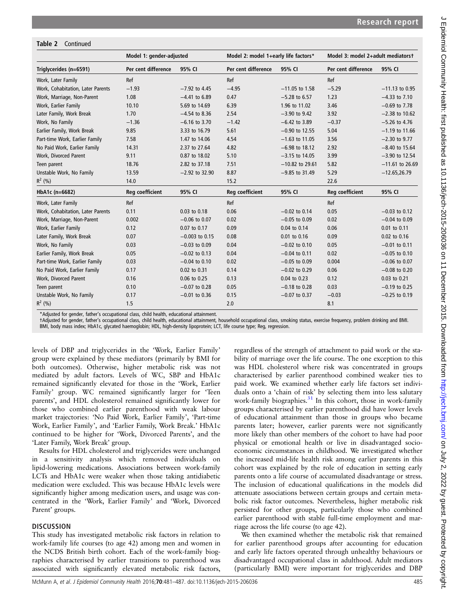#### Table 2 Continued

|                                   | Model 1: gender-adjusted |                  | Model 2: model 1+early life factors* |                   | Model 3: model 2+adult mediatorst |                   |
|-----------------------------------|--------------------------|------------------|--------------------------------------|-------------------|-----------------------------------|-------------------|
| Triglycerides (n=6591)            | Per cent difference      | 95% CI           | Per cent difference                  | 95% CI            | Per cent difference               | 95% CI            |
| Work, Later Family                | Ref                      |                  | Ref                                  |                   | Ref                               |                   |
| Work, Cohabitation, Later Parents | $-1.93$                  | $-7.92$ to 4.45  | $-4.95$                              | $-11.05$ to 1.58  | $-5.29$                           | $-11.13$ to 0.95  |
| Work, Marriage, Non-Parent        | 1.08                     | $-4.41$ to 6.89  | 0.47                                 | $-5.28$ to 6.57   | 1.23                              | $-4.33$ to $7.10$ |
| Work, Earlier Family              | 10.10                    | 5.69 to 14.69    | 6.39                                 | 1.96 to 11.02     | 3.46                              | $-0.69$ to 7.78   |
| Later Family, Work Break          | 1.70                     | $-4.54$ to 8.36  | 2.54                                 | $-3.90$ to 9.42   | 3.92                              | $-2.38$ to 10.62  |
| Work, No Family                   | $-1.36$                  | $-6.16$ to 3.70  | $-1.42$                              | $-6.42$ to 3.89   | $-0.37$                           | $-5.26$ to 4.76   |
| Earlier Family, Work Break        | 9.85                     | 3.33 to 16.79    | 5.61                                 | $-0.90$ to 12.55  | 5.04                              | $-1.19$ to 11.66  |
| Part-time Work, Earlier Family    | 7.58                     | 1.47 to 14.06    | 4.54                                 | $-1.63$ to 11.05  | 3.56                              | $-2.30$ to 9.77   |
| No Paid Work, Earlier Family      | 14.31                    | 2.37 to 27.64    | 4.82                                 | $-6.98$ to 18.12  | 2.92                              | $-8.40$ to 15.64  |
| Work, Divorced Parent             | 9.11                     | 0.87 to 18.02    | 5.10                                 | $-3.15$ to 14.05  | 3.99                              | $-3.90$ to 12.54  |
| Teen parent                       | 18.76                    | 2.82 to 37.18    | 7.51                                 | $-10.82$ to 29.61 | 5.82                              | $-11.61$ to 26.69 |
| Unstable Work, No Family          | 13.59                    | $-2.92$ to 32.90 | 8.87                                 | $-9.85$ to 31.49  | 5.29                              | $-12.65, 26.79$   |
| $R^2$ (%)                         | 14.0                     |                  | 15.2                                 |                   | 22.6                              |                   |
| HbA1c (n=6682)                    | <b>Reg coefficient</b>   | 95% CI           | <b>Reg coefficient</b>               | 95% CI            | <b>Reg coefficient</b>            | 95% CI            |
| Work, Later Family                | Ref                      |                  | Ref                                  |                   | Ref                               |                   |
| Work, Cohabitation, Later Parents | 0.11                     | 0.03 to 0.18     | 0.06                                 | $-0.02$ to 0.14   | 0.05                              | $-0.03$ to 0.12   |
| Work, Marriage, Non-Parent        | 0.002                    | $-0.06$ to 0.07  | 0.02                                 | $-0.05$ to 0.09   | 0.02                              | $-0.04$ to 0.09   |
| Work, Earlier Family              | 0.12                     | 0.07 to 0.17     | 0.09                                 | 0.04 to 0.14      | 0.06                              | 0.01 to 0.11      |
| Later Family, Work Break          | 0.07                     | $-0.003$ to 0.15 | 0.08                                 | 0.01 to 0.16      | 0.09                              | 0.02 to 0.16      |
| Work, No Family                   | 0.03                     | $-0.03$ to 0.09  | 0.04                                 | $-0.02$ to $0.10$ | 0.05                              | $-0.01$ to 0.11   |
| Earlier Family, Work Break        | 0.05                     | $-0.02$ to 0.13  | 0.04                                 | $-0.04$ to 0.11   | 0.02                              | $-0.05$ to 0.10   |
| Part-time Work, Earlier Family    | 0.03                     | $-0.04$ to 0.10  | 0.02                                 | $-0.05$ to 0.09   | 0.004                             | $-0.06$ to 0.07   |
| No Paid Work, Earlier Family      | 0.17                     | 0.02 to 0.31     | 0.14                                 | $-0.02$ to 0.29   | 0.06                              | $-0.08$ to 0.20   |
| Work, Divorced Parent             | 0.16                     | 0.06 to 0.25     | 0.13                                 | 0.04 to 0.23      | 0.12                              | 0.03 to 0.21      |
| Teen parent                       | 0.10                     | $-0.07$ to 0.28  | 0.05                                 | $-0.18$ to 0.28   | 0.03                              | $-0.19$ to 0.25   |
| Unstable Work, No Family          | 0.17                     | $-0.01$ to 0.36  | 0.15                                 | $-0.07$ to 0.37   | $-0.03$                           | $-0.25$ to 0.19   |
| $R^2$ (%)                         | 1.5                      |                  | 2.0                                  |                   | 8.1                               |                   |

\*Adjusted for gender, father's occupational class, child health, educational attainment.

†Adjusted for gender, father's occupational class, child health, educational attainment, household occupational class, smoking status, exercise frequency, problem drinking and BMI. BMI, body mass index; HbA1c, glycated haemoglobin; HDL, high-density lipoprotein; LCT, life course type; Reg, regression.

levels of DBP and triglycerides in the 'Work, Earlier Family' group were explained by these mediators (primarily by BMI for both outcomes). Otherwise, higher metabolic risk was not mediated by adult factors. Levels of WC, SBP and HbA1c remained significantly elevated for those in the 'Work, Earlier Family' group. WC remained significantly larger for 'Teen parents', and HDL cholesterol remained significantly lower for those who combined earlier parenthood with weak labour market trajectories: 'No Paid Work, Earlier Family', 'Part-time Work, Earlier Family', and 'Earlier Family, Work Break.' HbA1c continued to be higher for 'Work, Divorced Parents', and the 'Later Family, Work Break' group.

Results for HDL cholesterol and triglycerides were unchanged in a sensitivity analysis which removed individuals on lipid-lowering medications. Associations between work-family LCTs and HbA1c were weaker when those taking antidiabetic medication were excluded. This was because HbA1c levels were significantly higher among medication users, and usage was concentrated in the 'Work, Earlier Family' and 'Work, Divorced Parent' groups.

## **DISCUSSION**

This study has investigated metabolic risk factors in relation to work-family life courses (to age 42) among men and women in the NCDS British birth cohort. Each of the work-family biographies characterised by earlier transitions to parenthood was associated with significantly elevated metabolic risk factors,

regardless of the strength of attachment to paid work or the stability of marriage over the life course. The one exception to this was HDL cholesterol where risk was concentrated in groups characterised by earlier parenthood combined weaker ties to paid work. We examined whether early life factors set individuals onto a 'chain of risk' by selecting them into less salutary work-family biographies.<sup>[31](#page-6-0)</sup> In this cohort, those in work-family groups characterised by earlier parenthood did have lower levels of educational attainment than those in groups who became parents later; however, earlier parents were not significantly more likely than other members of the cohort to have had poor physical or emotional health or live in disadvantaged socioeconomic circumstances in childhood. We investigated whether the increased mid-life health risk among earlier parents in this cohort was explained by the role of education in setting early parents onto a life course of accumulated disadvantage or stress. The inclusion of educational qualifications in the models did attenuate associations between certain groups and certain metabolic risk factor outcomes. Nevertheless, higher metabolic risk persisted for other groups, particularly those who combined earlier parenthood with stable full-time employment and marriage across the life course (to age 42).

We then examined whether the metabolic risk that remained for earlier parenthood groups after accounting for education and early life factors operated through unhealthy behaviours or disadvantaged occupational class in adulthood. Adult mediators (particularly BMI) were important for triglycerides and DBP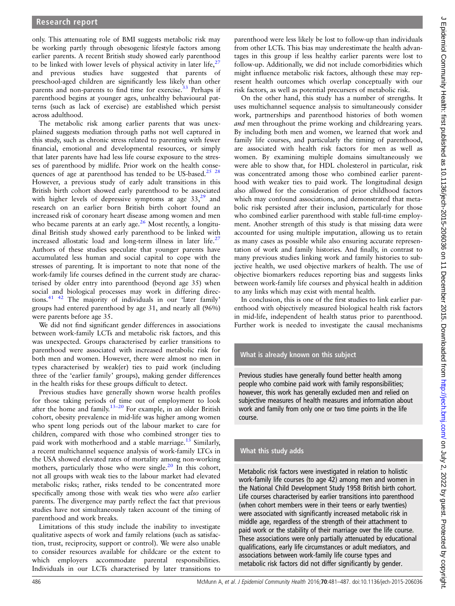only. This attenuating role of BMI suggests metabolic risk may be working partly through obesogenic lifestyle factors among earlier parents. A recent British study showed early parenthood to be linked with lower levels of physical activity in later life,  $27$ and previous studies have suggested that parents of preschool-aged children are significantly less likely than other parents and non-parents to find time for exercise.<sup>[33](#page-6-0)</sup> Perhaps if parenthood begins at younger ages, unhealthy behavioural patterns (such as lack of exercise) are established which persist across adulthood.

The metabolic risk among earlier parents that was unexplained suggests mediation through paths not well captured in this study, such as chronic stress related to parenting with fewer financial, emotional and developmental resources, or simply that later parents have had less life course exposure to the stresses of parenthood by midlife. Prior work on the health consequences of age at parenthood has tended to be US-based.<sup>25</sup> <sup>28</sup> However, a previous study of early adult transitions in this British birth cohort showed early parenthood to be associated with higher levels of depressive symptoms at age  $33<sup>29</sup>$  $33<sup>29</sup>$  $33<sup>29</sup>$  and research on an earlier born British birth cohort found an increased risk of coronary heart disease among women and men who became parents at an early age. $26$  Most recently, a longitudinal British study showed early parenthood to be linked with increased allostatic load and long-term illness in later life.<sup>27</sup> Authors of these studies speculate that younger parents have accumulated less human and social capital to cope with the stresses of parenting. It is important to note that none of the work-family life courses defined in the current study are characterised by older entry into parenthood (beyond age 35) when social and biological processes may work in differing directions.[41 42](#page-6-0) The majority of individuals in our 'later family' groups had entered parenthood by age 31, and nearly all (96%) were parents before age 35.

We did not find significant gender differences in associations between work-family LCTs and metabolic risk factors, and this was unexpected. Groups characterised by earlier transitions to parenthood were associated with increased metabolic risk for both men and women. However, there were almost no men in types characterised by weak(er) ties to paid work (including three of the 'earlier family' groups), making gender differences in the health risks for these groups difficult to detect.

Previous studies have generally shown worse health profiles for those taking periods of time out of employment to look after the home and family.<sup>[13](#page-6-0)–20</sup> For example, in an older British cohort, obesity prevalence in mid-life was higher among women who spent long periods out of the labour market to care for children, compared with those who combined stronger ties to paid work with motherhood and a stable marriage.<sup>[13](#page-6-0)</sup> Similarly, a recent multichannel sequence analysis of work-family LTCs in the USA showed elevated rates of mortality among non-working mothers, particularly those who were single.<sup>[20](#page-6-0)</sup> In this cohort, not all groups with weak ties to the labour market had elevated metabolic risks; rather, risks tended to be concentrated more specifically among those with weak ties who were also earlier parents. The divergence may partly reflect the fact that previous studies have not simultaneously taken account of the timing of parenthood and work breaks.

Limitations of this study include the inability to investigate qualitative aspects of work and family relations (such as satisfaction, trust, reciprocity, support or control). We were also unable to consider resources available for childcare or the extent to which employers accommodate parental responsibilities. Individuals in our LCTs characterised by later transitions to

parenthood were less likely be lost to follow-up than individuals from other LCTs. This bias may underestimate the health advantages in this group if less healthy earlier parents were lost to follow-up. Additionally, we did not include comorbidities which might influence metabolic risk factors, although these may represent health outcomes which overlap conceptually with our risk factors, as well as potential precursers of metabolic risk.

On the other hand, this study has a number of strengths. It uses multichannel sequence analysis to simultaneously consider work, partnerships and parenthood histories of both women and men throughout the prime working and childrearing years. By including both men and women, we learned that work and family life courses, and particularly the timing of parenthood, are associated with health risk factors for men as well as women. By examining multiple domains simultaneously we were able to show that, for HDL cholesterol in particular, risk was concentrated among those who combined earlier parenthood with weaker ties to paid work. The longitudinal design also allowed for the consideration of prior childhood factors which may confound associations, and demonstrated that metabolic risk persisted after their inclusion, particularly for those who combined earlier parenthood with stable full-time employment. Another strength of this study is that missing data were accounted for using multiple imputation, allowing us to retain as many cases as possible while also ensuring accurate representation of work and family histories. And finally, in contrast to many previous studies linking work and family histories to subjective health, we used objective markers of health. The use of objective biomarkers reduces reporting bias and suggests links between work-family life courses and physical health in addition to any links which may exist with mental health.

In conclusion, this is one of the first studies to link earlier parenthood with objectively measured biological health risk factors in mid-life, independent of health status prior to parenthood. Further work is needed to investigate the causal mechanisms

## What is already known on this subject

Previous studies have generally found better health among people who combine paid work with family responsibilities; however, this work has generally excluded men and relied on subjective measures of health measures and information about work and family from only one or two time points in the life course.

# What this study adds

Metabolic risk factors were investigated in relation to holistic work-family life courses (to age 42) among men and women in the National Child Development Study 1958 British birth cohort. Life courses characterised by earlier transitions into parenthood (when cohort members were in their teens or early twenties) were associated with significantly increased metabolic risk in middle age, regardless of the strength of their attachment to paid work or the stability of their marriage over the life course. These associations were only partially attenuated by educational qualifications, early life circumstances or adult mediators, and associations between work-family life course types and metabolic risk factors did not differ significantly by gender.